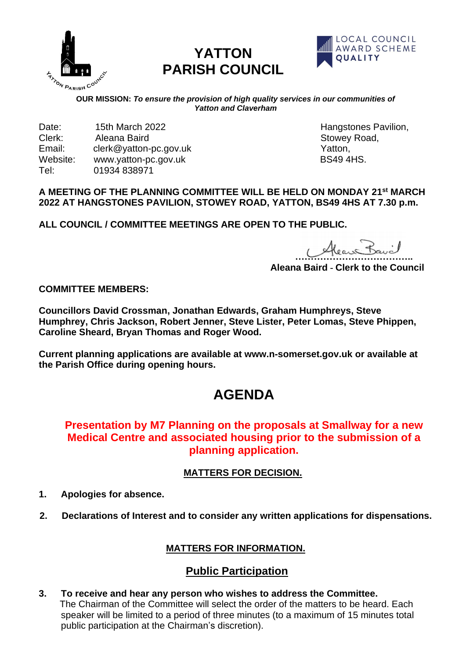

# **YATTON PARISH COUNCIL**



**COUR MISSION:** *To ensure the provision of high quality services in our communities of*<br>OUR MISSION: *To ensure the provision of high quality services in our communities of Yatton and Claverham*

Date: 15th March 2022 **Hangstones Pavilion**, Clerk: Aleana Baird Stowey Road, Email: clerk@yatton-pc.gov.uk Yatton, Website: www.yatton-pc.gov.uk Tel: 01934 838971

#### **A MEETING OF THE PLANNING COMMITTEE WILL BE HELD ON MONDAY 21 st MARCH 2022 AT HANGSTONES PAVILION, STOWEY ROAD, YATTON, BS49 4HS AT 7.30 p.m.**

**ALL COUNCIL / COMMITTEE MEETINGS ARE OPEN TO THE PUBLIC.**

 $\frac{1}{2}$ 

**Aleana Baird - Clerk to the Council**

**COMMITTEE MEMBERS:**

**Councillors David Crossman, Jonathan Edwards, Graham Humphreys, Steve Humphrey, Chris Jackson, Robert Jenner, Steve Lister, Peter Lomas, Steve Phippen, Caroline Sheard, Bryan Thomas and Roger Wood.** 

**Current planning applications are available at www.n-somerset.gov.uk or available at the Parish Office during opening hours.**

# **AGENDA**

## **Presentation by M7 Planning on the proposals at Smallway for a new Medical Centre and associated housing prior to the submission of a planning application.**

## **MATTERS FOR DECISION.**

- **1. Apologies for absence.**
- **2. Declarations of Interest and to consider any written applications for dispensations.**

## **MATTERS FOR INFORMATION.**

# **Public Participation**

**3. To receive and hear any person who wishes to address the Committee.** The Chairman of the Committee will select the order of the matters to be heard. Each speaker will be limited to a period of three minutes (to a maximum of 15 minutes total public participation at the Chairman's discretion).